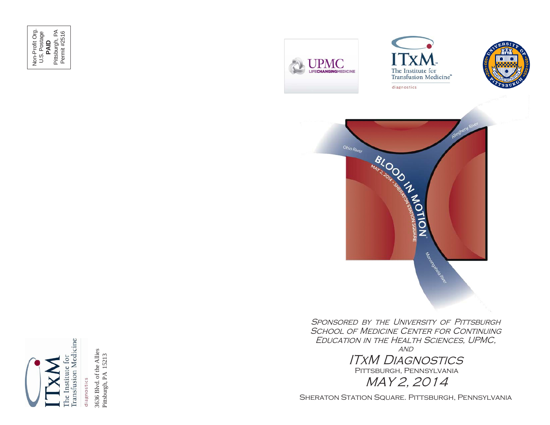Non-Profit Org. U.S. Postage Non-Profit Org.<br>U.S. Postage<br>**PAID**<br>Pittsburgh, PA<br>Permit #2516 Pittsburgh, PA Permit #2516









SPONSORED BY THE UNIVERSITY OF PITTSBURGH SCHOOL OF MEDICINE CENTER FOR CONTINUING Education in the Health Sciences, UPMC,

**AND** ITxM Diagnostics Pittsburgh, Pennsylvania

MAY 2, 2014

SHERATON STATION SQUARE. PITTSBURGH, PENNSYLVANIA



3636 Blvd. of the 3636 Blvd. of the Allies<br>Pittsburgh, PA 15213 Pittsburgh, PA 15213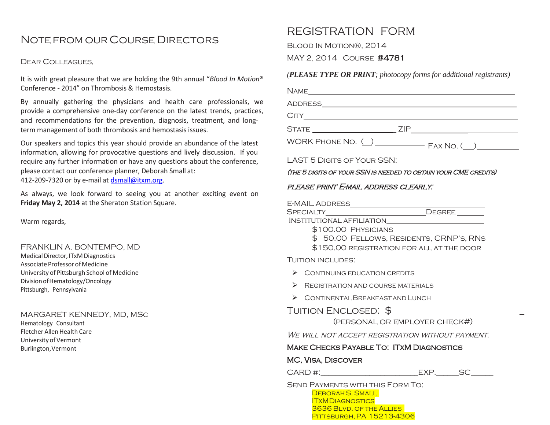# Notefrom our Course Directors

#### Dear Colleagues,

It is with great pleasure that we are holding the 9th annual "*Blood In Motion*® Conference - 2014" on Thrombosis & Hemostasis.

By annually gathering the physicians and health care professionals, provide a comprehensive one-day conference on the latest trends, practice and recommendations for the prevention, diagnosis, treatment, and longterm management of both thrombosis and hemostasis issues.

Our speakers and topics this year should provide an abundance of the lates information, allowing for provocative questions and lively discussion. If you require any further information or have any questions about the conference, please contact our conference planner, Deborah Small at: 412-209-7320 or by e-mail at [dsmall@itxm.org.](mailto:dsmall@itxm.org)

As always, we look forward to seeing you at another exciting event on **Friday May 2, 2014** at the Sheraton Station Square.

Warm regards,

#### FRANKLIN A. BONTEMPO, MD

Medical Director, ITxM Diagnostics Associate Professor of Medicine University of Pittsburgh School of Medicine DivisionofHematology/Oncology Pittsburgh, Pennsylvania

#### MARGARET KENNEDY, MD, MSc

Hematology Consultant Fletcher Allen Health Care University of Vermont Burlington,Vermont

# REGISTRATION FORM

Blood In Motion®, 2014

MAY 2, 2014 Course #4781

#### *(PLEASE TYPE OR PRINT; photocopy forms for additional registrants)*

| (THE 5 DIGITS OF YOUR SSN IS NEEDED TO OBTAIN YOUR CME CREDITS)<br>PLEASE PRINT E-MAIL ADDRESS CLEARLY.<br>E-MAIL ADDRESS___________________________DEGREE ________<br>SPECIALTY______________________________DEGREE ________<br>\$100.00 PHYSICIANS<br>\$ 50.00 FELLOWS, RESIDENTS, CRNP'S, RNS<br>\$150.00 REGISTRATION FOR ALL AT THE DOOR<br><b>TUITION INCLUDES:</b><br>$\triangleright$ CONTINUING EDUCATION CREDITS<br>$\triangleright$ REGISTRATION AND COURSE MATERIALS<br>$\triangleright$ CONTINENTAL BREAKFAST AND LUNCH<br>TUITION ENCLOSED: \$<br>(PERSONAL OR EMPLOYER CHECK#)<br>We will not accept registration without payment.<br><b>MAKE CHECKS PAYABLE TO: ITXM DIAGNOSTICS</b><br>MC, VISA, DISCOVER |  |
|----------------------------------------------------------------------------------------------------------------------------------------------------------------------------------------------------------------------------------------------------------------------------------------------------------------------------------------------------------------------------------------------------------------------------------------------------------------------------------------------------------------------------------------------------------------------------------------------------------------------------------------------------------------------------------------------------------------------------|--|
|                                                                                                                                                                                                                                                                                                                                                                                                                                                                                                                                                                                                                                                                                                                            |  |
|                                                                                                                                                                                                                                                                                                                                                                                                                                                                                                                                                                                                                                                                                                                            |  |
|                                                                                                                                                                                                                                                                                                                                                                                                                                                                                                                                                                                                                                                                                                                            |  |
|                                                                                                                                                                                                                                                                                                                                                                                                                                                                                                                                                                                                                                                                                                                            |  |
|                                                                                                                                                                                                                                                                                                                                                                                                                                                                                                                                                                                                                                                                                                                            |  |
|                                                                                                                                                                                                                                                                                                                                                                                                                                                                                                                                                                                                                                                                                                                            |  |
|                                                                                                                                                                                                                                                                                                                                                                                                                                                                                                                                                                                                                                                                                                                            |  |
|                                                                                                                                                                                                                                                                                                                                                                                                                                                                                                                                                                                                                                                                                                                            |  |
|                                                                                                                                                                                                                                                                                                                                                                                                                                                                                                                                                                                                                                                                                                                            |  |
|                                                                                                                                                                                                                                                                                                                                                                                                                                                                                                                                                                                                                                                                                                                            |  |
|                                                                                                                                                                                                                                                                                                                                                                                                                                                                                                                                                                                                                                                                                                                            |  |
|                                                                                                                                                                                                                                                                                                                                                                                                                                                                                                                                                                                                                                                                                                                            |  |
|                                                                                                                                                                                                                                                                                                                                                                                                                                                                                                                                                                                                                                                                                                                            |  |
|                                                                                                                                                                                                                                                                                                                                                                                                                                                                                                                                                                                                                                                                                                                            |  |
|                                                                                                                                                                                                                                                                                                                                                                                                                                                                                                                                                                                                                                                                                                                            |  |
|                                                                                                                                                                                                                                                                                                                                                                                                                                                                                                                                                                                                                                                                                                                            |  |
|                                                                                                                                                                                                                                                                                                                                                                                                                                                                                                                                                                                                                                                                                                                            |  |
|                                                                                                                                                                                                                                                                                                                                                                                                                                                                                                                                                                                                                                                                                                                            |  |
|                                                                                                                                                                                                                                                                                                                                                                                                                                                                                                                                                                                                                                                                                                                            |  |
|                                                                                                                                                                                                                                                                                                                                                                                                                                                                                                                                                                                                                                                                                                                            |  |
|                                                                                                                                                                                                                                                                                                                                                                                                                                                                                                                                                                                                                                                                                                                            |  |
| CARD #:_______________________________EXP._________SC_______                                                                                                                                                                                                                                                                                                                                                                                                                                                                                                                                                                                                                                                               |  |

3636 Blvd. of the Allies **PITTSBURGH, PA 15213-4306**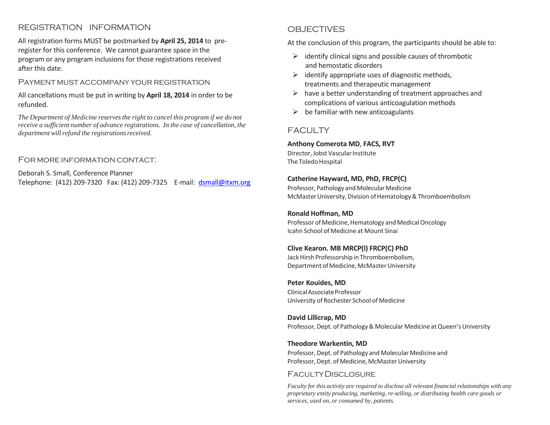## REGISTRATION INFORMATION

All registration forms MUST be postmarked by **April 25, 2014** to preregister for this conference. We cannot guarantee space in the program or any program inclusions for those registrations received after this date.

#### Payment must accompany your registration

All cancellations must be put in writing by **April 18, 2014** in order to be refunded.

*The Department of Medicine reservesthe right to cancel this program if we do not receive a sufficient number of advance registrations. In the case of cancellation, the department* will refund the registrations received.

#### For more information contact:

Deborah S. Small, Conference Planner Telephone: (412) 209-7320 Fax: (412) 209-7325 E-mail: [dsmall@itxm.org](mailto:dsmall@itxm.org)

### OBJECTIVES

At the conclusion of this program, the participants should be able to:

- $\triangleright$  identify clinical signs and possible causes of thrombotic and hemostatic disorders
- $\triangleright$  identify appropriate uses of diagnostic methods, treatments and therapeutic management
- $\triangleright$  have a better understanding of treatment approaches and complications of various anticoagulation methods
- $\triangleright$  be familiar with new anticoagulants

### FACULTY

#### **Anthony Comerota MD**, **FACS, RVT** Director, Jobst Vascular Institute

The Toledo Hospital

#### **Catherine Hayward, MD, PhD, FRCP(C)**

Professor, Pathology and Molecular Medicine McMaster University, Division of Hematology & Thromboembolism

#### **Ronald Hoffman, MD**

Professor of Medicine, Hematology and Medical Oncology Icahn School of Medicine at Mount Sinai

#### **Clive Kearon. MB MRCP(I) FRCP(C) PhD**

Jack Hirsh Professorship in Thromboembolism, Department of Medicine, McMaster University

**Peter Kouides, MD** ClinicalAssociateProfessor University of Rochester School of Medicine

**David Lillicrap, MD** Professor, Dept. of Pathology & Molecular Medicine at Queen's University

# **Theodore Warkentin, MD**

Professor, Dept. of Pathology and Molecular Medicine and Professor, Dept. of Medicine, McMaster University

# FacultyDisclosure

*Faculty for this activity are required to disclose all relevant financial relationships with any proprietary entity producing, marketing, re-selling, or distributing health care goods or services, used on, or consumed by, patients.*